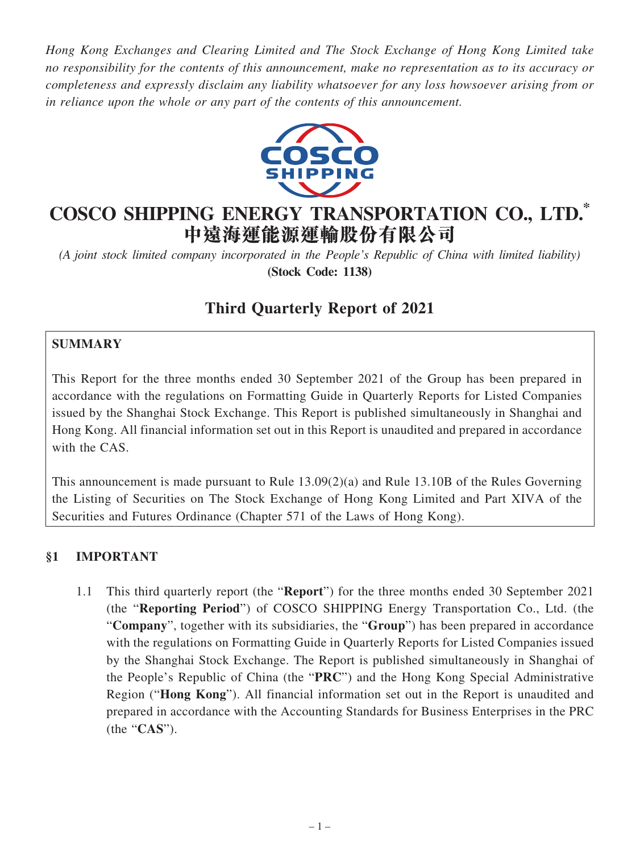*Hong Kong Exchanges and Clearing Limited and The Stock Exchange of Hong Kong Limited take no responsibility for the contents of this announcement, make no representation as to its accuracy or completeness and expressly disclaim any liability whatsoever for any loss howsoever arising from or in reliance upon the whole or any part of the contents of this announcement.*



# **COSCO SHIPPING ENERGY TRANSPORTATION CO., LTD. \* 中遠海運能源運輸股份有限公司**

*(A joint stock limited company incorporated in the People's Republic of China with limited liability)* **(Stock Code: 1138)**

## **Third Quarterly Report of 2021**

### **SUMMARY**

This Report for the three months ended 30 September 2021 of the Group has been prepared in accordance with the regulations on Formatting Guide in Quarterly Reports for Listed Companies issued by the Shanghai Stock Exchange. This Report is published simultaneously in Shanghai and Hong Kong. All financial information set out in this Report is unaudited and prepared in accordance with the CAS.

This announcement is made pursuant to Rule 13.09(2)(a) and Rule 13.10B of the Rules Governing the Listing of Securities on The Stock Exchange of Hong Kong Limited and Part XIVA of the Securities and Futures Ordinance (Chapter 571 of the Laws of Hong Kong).

#### **§1 IMPORTANT**

1.1 This third quarterly report (the "**Report**") for the three months ended 30 September 2021 (the "**Reporting Period**") of COSCO SHIPPING Energy Transportation Co., Ltd. (the "**Company**", together with its subsidiaries, the "**Group**") has been prepared in accordance with the regulations on Formatting Guide in Quarterly Reports for Listed Companies issued by the Shanghai Stock Exchange. The Report is published simultaneously in Shanghai of the People's Republic of China (the "**PRC**") and the Hong Kong Special Administrative Region ("**Hong Kong**"). All financial information set out in the Report is unaudited and prepared in accordance with the Accounting Standards for Business Enterprises in the PRC (the "**CAS**").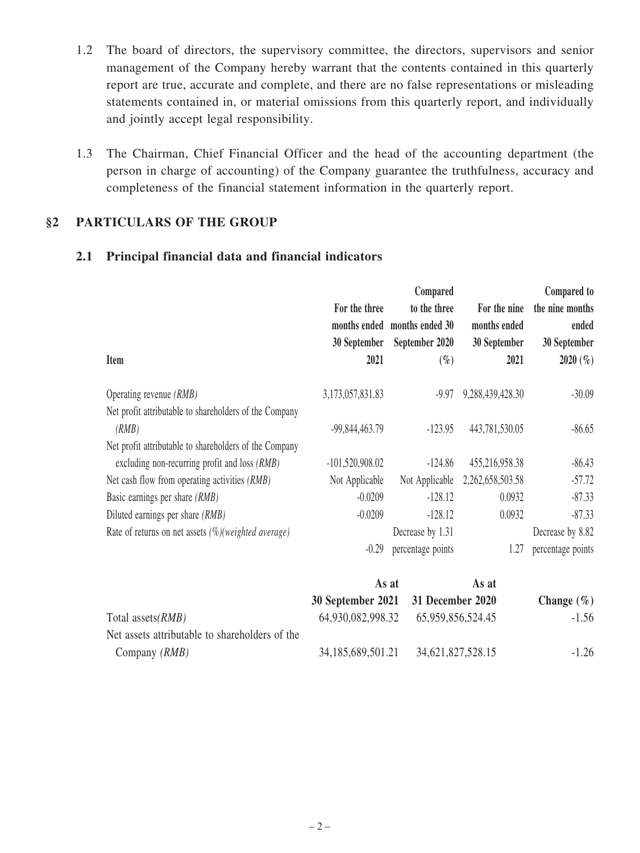- 1.2 The board of directors, the supervisory committee, the directors, supervisors and senior management of the Company hereby warrant that the contents contained in this quarterly report are true, accurate and complete, and there are no false representations or misleading statements contained in, or material omissions from this quarterly report, and individually and jointly accept legal responsibility.
- 1.3 The Chairman, Chief Financial Officer and the head of the accounting department (the person in charge of accounting) of the Company guarantee the truthfulness, accuracy and completeness of the financial statement information in the quarterly report.

### **§2 PARTICULARS OF THE GROUP**

#### **2.1 Principal financial data and financial indicators**

|                                                         |                   | Compared                     |                  | Compared to       |
|---------------------------------------------------------|-------------------|------------------------------|------------------|-------------------|
|                                                         | For the three     | to the three                 | For the nine     | the nine months   |
|                                                         |                   | months ended months ended 30 | months ended     | ended             |
|                                                         | 30 September      | September 2020               | 30 September     | 30 September      |
| Item                                                    | 2021              | $(\%)$                       | 2021             | 2020(%)           |
| Operating revenue (RMB)                                 | 3,173,057,831.83  | $-9.97$                      | 9,288,439,428.30 | $-30.09$          |
| Net profit attributable to shareholders of the Company  |                   |                              |                  |                   |
| (RMB)                                                   | -99,844,463.79    | $-123.95$                    | 443,781,530.05   | $-86.65$          |
| Net profit attributable to shareholders of the Company  |                   |                              |                  |                   |
| excluding non-recurring profit and loss (RMB)           | $-101,520,908.02$ | $-124.86$                    | 455,216,958.38   | $-86.43$          |
| Net cash flow from operating activities (RMB)           | Not Applicable    | Not Applicable               | 2,262,658,503.58 | $-57.72$          |
| Basic earnings per share (RMB)                          | $-0.0209$         | $-128.12$                    | 0.0932           | $-87.33$          |
| Diluted earnings per share <i>(RMB)</i>                 | $-0.0209$         | $-128.12$                    | 0.0932           | $-87.33$          |
| Rate of returns on net assets $(\%)$ (weighted average) |                   | Decrease by 1.31             |                  | Decrease by 8.82  |
|                                                         | $-0.29$           | percentage points            | 1.27             | percentage points |
|                                                         |                   | As at                        | As at            |                   |

|                                                | 30 September 2021 31 December 2020 |                                     | Change $(\% )$ |
|------------------------------------------------|------------------------------------|-------------------------------------|----------------|
| Total assets( <i>RMB</i> )                     |                                    | 64,930,082,998.32 65,959,856,524.45 | $-1.56$        |
| Net assets attributable to shareholders of the |                                    |                                     |                |
| Company <i>(RMB)</i>                           | 34, 185, 689, 501. 21              | 34,621,827,528.15                   | $-1.26$        |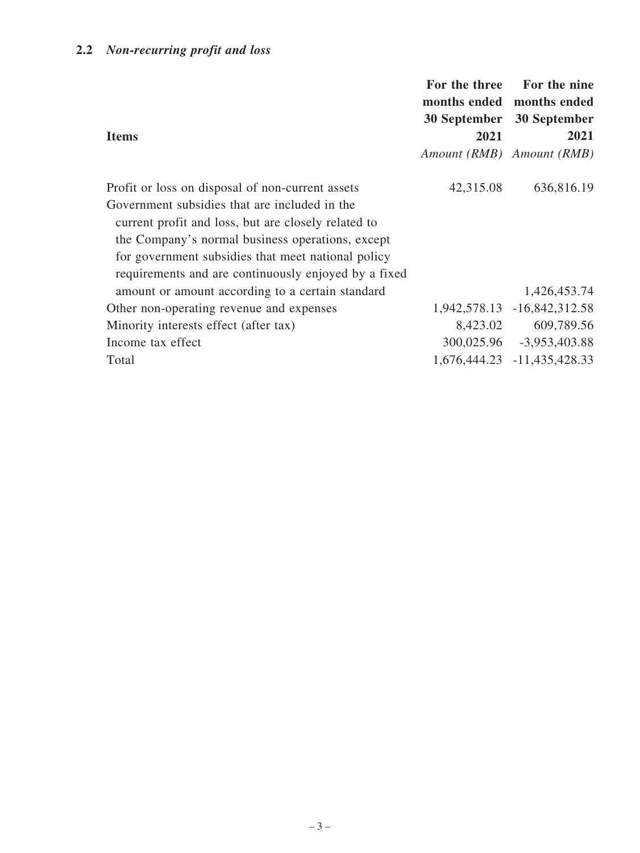## **2.2** *Non-recurring profit and loss*

| <b>Items</b>                                                                                                                                                                                                                                                                                                               | For the three<br>2021 | For the nine<br>months ended months ended<br>30 September 30 September<br>2021<br>Amount (RMB) Amount (RMB) |
|----------------------------------------------------------------------------------------------------------------------------------------------------------------------------------------------------------------------------------------------------------------------------------------------------------------------------|-----------------------|-------------------------------------------------------------------------------------------------------------|
| Profit or loss on disposal of non-current assets<br>Government subsidies that are included in the<br>current profit and loss, but are closely related to<br>the Company's normal business operations, except<br>for government subsidies that meet national policy<br>requirements and are continuously enjoyed by a fixed | 42,315.08             | 636,816.19                                                                                                  |
| amount or amount according to a certain standard                                                                                                                                                                                                                                                                           |                       | 1,426,453.74                                                                                                |
| Other non-operating revenue and expenses                                                                                                                                                                                                                                                                                   |                       | 1,942,578.13 -16,842,312.58                                                                                 |
| Minority interests effect (after tax)                                                                                                                                                                                                                                                                                      | 8,423.02              | 609,789.56                                                                                                  |
| Income tax effect                                                                                                                                                                                                                                                                                                          |                       | 300,025.96 -3,953,403.88                                                                                    |
| Total                                                                                                                                                                                                                                                                                                                      |                       | 1,676,444.23 -11,435,428.33                                                                                 |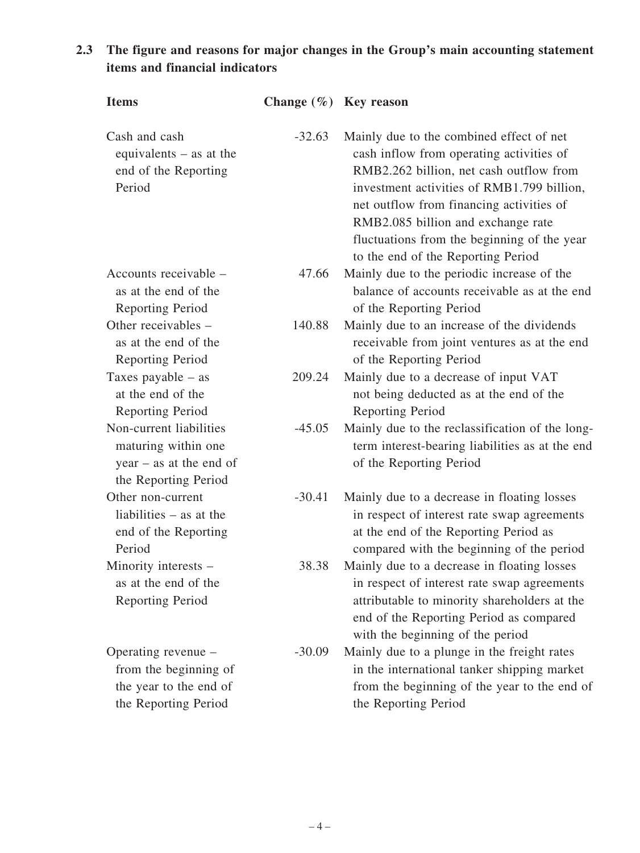## **2.3 The figure and reasons for major changes in the Group's main accounting statement items and financial indicators**

| <b>Items</b>                                                                                        | Change $(\% )$ Key reason |                                                                                                                                                                                                                                                                                                                                                      |
|-----------------------------------------------------------------------------------------------------|---------------------------|------------------------------------------------------------------------------------------------------------------------------------------------------------------------------------------------------------------------------------------------------------------------------------------------------------------------------------------------------|
| Cash and cash<br>equivalents $-$ as at the<br>end of the Reporting<br>Period                        | $-32.63$                  | Mainly due to the combined effect of net<br>cash inflow from operating activities of<br>RMB2.262 billion, net cash outflow from<br>investment activities of RMB1.799 billion,<br>net outflow from financing activities of<br>RMB2.085 billion and exchange rate<br>fluctuations from the beginning of the year<br>to the end of the Reporting Period |
| Accounts receivable –<br>as at the end of the                                                       | 47.66                     | Mainly due to the periodic increase of the<br>balance of accounts receivable as at the end                                                                                                                                                                                                                                                           |
| Reporting Period                                                                                    |                           | of the Reporting Period                                                                                                                                                                                                                                                                                                                              |
| Other receivables –<br>as at the end of the<br>Reporting Period                                     | 140.88                    | Mainly due to an increase of the dividends<br>receivable from joint ventures as at the end<br>of the Reporting Period                                                                                                                                                                                                                                |
| Taxes payable $-$ as<br>at the end of the<br>Reporting Period                                       | 209.24                    | Mainly due to a decrease of input VAT<br>not being deducted as at the end of the<br><b>Reporting Period</b>                                                                                                                                                                                                                                          |
| Non-current liabilities<br>maturing within one<br>$year - as at the end of$<br>the Reporting Period | $-45.05$                  | Mainly due to the reclassification of the long-<br>term interest-bearing liabilities as at the end<br>of the Reporting Period                                                                                                                                                                                                                        |
| Other non-current<br>liabilities $-$ as at the<br>end of the Reporting<br>Period                    | $-30.41$                  | Mainly due to a decrease in floating losses<br>in respect of interest rate swap agreements<br>at the end of the Reporting Period as<br>compared with the beginning of the period                                                                                                                                                                     |
| Minority interests -<br>as at the end of the<br><b>Reporting Period</b>                             | 38.38                     | Mainly due to a decrease in floating losses<br>in respect of interest rate swap agreements<br>attributable to minority shareholders at the<br>end of the Reporting Period as compared<br>with the beginning of the period                                                                                                                            |
| Operating revenue –<br>from the beginning of<br>the year to the end of<br>the Reporting Period      | $-30.09$                  | Mainly due to a plunge in the freight rates<br>in the international tanker shipping market<br>from the beginning of the year to the end of<br>the Reporting Period                                                                                                                                                                                   |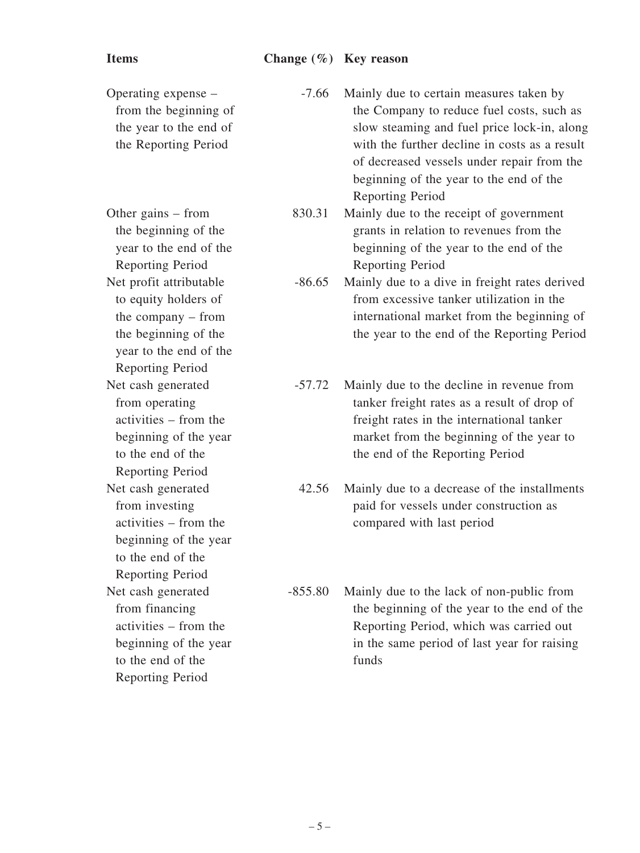## **Items Change (%) Key reason**

| Operating expense –<br>from the beginning of<br>the year to the end of<br>the Reporting Period                                                | $-7.66$   | Mainly due to certain measures taken by<br>the Company to reduce fuel costs, such as<br>slow steaming and fuel price lock-in, along<br>with the further decline in costs as a result<br>of decreased vessels under repair from the<br>beginning of the year to the end of the<br><b>Reporting Period</b> |
|-----------------------------------------------------------------------------------------------------------------------------------------------|-----------|----------------------------------------------------------------------------------------------------------------------------------------------------------------------------------------------------------------------------------------------------------------------------------------------------------|
| Other gains $-$ from<br>the beginning of the<br>year to the end of the<br>Reporting Period                                                    | 830.31    | Mainly due to the receipt of government<br>grants in relation to revenues from the<br>beginning of the year to the end of the<br>Reporting Period                                                                                                                                                        |
| Net profit attributable<br>to equity holders of<br>the company $-$ from<br>the beginning of the<br>year to the end of the<br>Reporting Period | $-86.65$  | Mainly due to a dive in freight rates derived<br>from excessive tanker utilization in the<br>international market from the beginning of<br>the year to the end of the Reporting Period                                                                                                                   |
| Net cash generated<br>from operating<br>activities – from the<br>beginning of the year<br>to the end of the<br>Reporting Period               | $-57.72$  | Mainly due to the decline in revenue from<br>tanker freight rates as a result of drop of<br>freight rates in the international tanker<br>market from the beginning of the year to<br>the end of the Reporting Period                                                                                     |
| Net cash generated<br>from investing<br>activities – from the<br>beginning of the year<br>to the end of the<br>Reporting Period               | 42.56     | Mainly due to a decrease of the installments<br>paid for vessels under construction as<br>compared with last period                                                                                                                                                                                      |
| Net cash generated<br>from financing<br>activities – from the<br>beginning of the year<br>to the end of the<br><b>Reporting Period</b>        | $-855.80$ | Mainly due to the lack of non-public from<br>the beginning of the year to the end of the<br>Reporting Period, which was carried out<br>in the same period of last year for raising<br>funds                                                                                                              |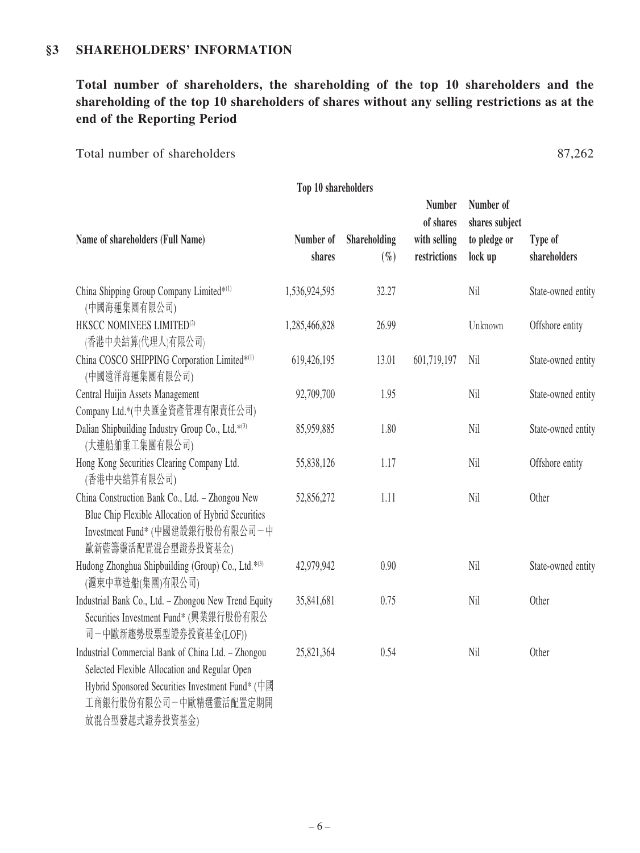#### **§3 SHAREHOLDERS' INFORMATION**

**Total number of shareholders, the shareholding of the top 10 shareholders and the shareholding of the top 10 shareholders of shares without any selling restrictions as at the end of the Reporting Period**

Total number of shareholders 87,262

| Top 10 shareholders                                                                                                                                                                                                                                                                                                                                                                                                                                                           |                     |                        |                                                            |                                                        |                         |
|-------------------------------------------------------------------------------------------------------------------------------------------------------------------------------------------------------------------------------------------------------------------------------------------------------------------------------------------------------------------------------------------------------------------------------------------------------------------------------|---------------------|------------------------|------------------------------------------------------------|--------------------------------------------------------|-------------------------|
| Name of shareholders (Full Name)                                                                                                                                                                                                                                                                                                                                                                                                                                              | Number of<br>shares | Shareholding<br>$(\%)$ | <b>Number</b><br>of shares<br>with selling<br>restrictions | Number of<br>shares subject<br>to pledge or<br>lock up | Type of<br>shareholders |
| China Shipping Group Company Limited*(1)<br>(中國海運集團有限公司)                                                                                                                                                                                                                                                                                                                                                                                                                      | 1,536,924,595       | 32.27                  |                                                            | Nil                                                    | State-owned entity      |
| HKSCC NOMINEES LIMITED <sup>(2)</sup><br>(香港中央結算(代理人)有限公司)                                                                                                                                                                                                                                                                                                                                                                                                                    | 1,285,466,828       | 26.99                  |                                                            | Unknown                                                | Offshore entity         |
| China COSCO SHIPPING Corporation Limited*(1)<br>(中國遠洋海運集團有限公司)                                                                                                                                                                                                                                                                                                                                                                                                                | 619,426,195         | 13.01                  | 601,719,197                                                | Nil                                                    | State-owned entity      |
| Central Huijin Assets Management<br>Company Ltd.*(中央匯金資產管理有限責任公司)                                                                                                                                                                                                                                                                                                                                                                                                             | 92,709,700          | 1.95                   |                                                            | Nil                                                    | State-owned entity      |
| Dalian Shipbuilding Industry Group Co., Ltd.*(3)<br>(大連船舶重工集團有限公司)                                                                                                                                                                                                                                                                                                                                                                                                            | 85,959,885          | 1.80                   |                                                            | Nil                                                    | State-owned entity      |
| Hong Kong Securities Clearing Company Ltd.<br>(香港中央結算有限公司)                                                                                                                                                                                                                                                                                                                                                                                                                    | 55,838,126          | 1.17                   |                                                            | Nil                                                    | Offshore entity         |
| China Construction Bank Co., Ltd. - Zhongou New<br>Blue Chip Flexible Allocation of Hybrid Securities<br>Investment Fund* (中國建設銀行股份有限公司一中<br>歐新藍籌靈活配置混合型證券投資基金)                                                                                                                                                                                                                                                                                                               | 52,856,272          | 1.11                   |                                                            | Nil                                                    | Other                   |
| Hudong Zhonghua Shipbuilding (Group) Co., Ltd.*(3)<br>(滬東中華造船(集團)有限公司)                                                                                                                                                                                                                                                                                                                                                                                                        | 42,979,942          | 0.90                   |                                                            | Nil                                                    | State-owned entity      |
| Industrial Bank Co., Ltd. - Zhongou New Trend Equity<br>Securities Investment Fund* (興業銀行股份有限公<br>司一中歐新趨勢股票型證券投資基金(LOF))                                                                                                                                                                                                                                                                                                                                                      | 35,841,681          | 0.75                   |                                                            | Nil                                                    | Other                   |
| Industrial Commercial Bank of China Ltd. - Zhongou<br>Selected Flexible Allocation and Regular Open<br>Hybrid Sponsored Securities Investment Fund* (中國<br>工商銀行股份有限公司一中歐精選靈活配置定期開<br>$-4$ and $-4$ $\sqrt{2}$ . Then, $\sqrt{2}$ is $\sqrt{2}$ is $\sqrt{2}$ is $\sqrt{2}$ is $\sqrt{2}$ is $\sqrt{2}$ is $\sqrt{2}$ is $\sqrt{2}$ is $\sqrt{2}$ is $\sqrt{2}$ is $\sqrt{2}$ is $\sqrt{2}$ is $\sqrt{2}$ is $\sqrt{2}$ is $\sqrt{2}$ is $\sqrt{2}$ is $\sqrt{2}$ is $\sqrt{2$ | 25,821,364          | 0.54                   |                                                            | Nil                                                    | Other                   |

放混合型發起式證券投資基金)

 $-6-$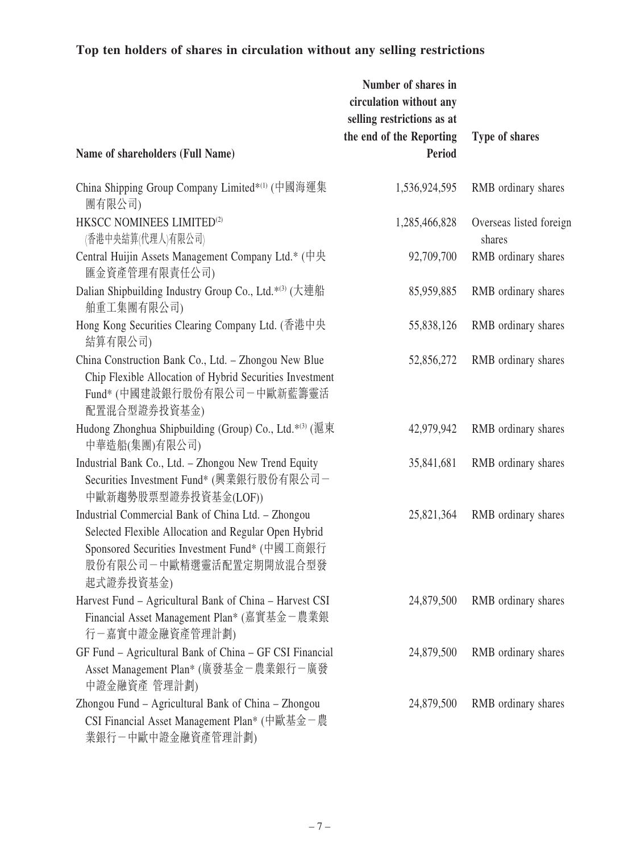## **Top ten holders of shares in circulation without any selling restrictions**

|                                                                                                                                                                                                     | Number of shares in<br>circulation without any<br>selling restrictions as at<br>the end of the Reporting | Type of shares                    |
|-----------------------------------------------------------------------------------------------------------------------------------------------------------------------------------------------------|----------------------------------------------------------------------------------------------------------|-----------------------------------|
| Name of shareholders (Full Name)                                                                                                                                                                    | Period                                                                                                   |                                   |
| China Shipping Group Company Limited* <sup>(1)</sup> (中國海運集<br>團有限公司)                                                                                                                               | 1,536,924,595                                                                                            | RMB ordinary shares               |
| HKSCC NOMINEES LIMITED <sup>(2)</sup><br>(香港中央結算(代理人)有限公司)                                                                                                                                          | 1,285,466,828                                                                                            | Overseas listed foreign<br>shares |
| Central Huijin Assets Management Company Ltd.* (中央<br>匯金資產管理有限責任公司)                                                                                                                                 | 92,709,700                                                                                               | RMB ordinary shares               |
| Dalian Shipbuilding Industry Group Co., Ltd.*(3) (大連船<br>舶重工集團有限公司)                                                                                                                                 | 85,959,885                                                                                               | RMB ordinary shares               |
| Hong Kong Securities Clearing Company Ltd. (香港中央<br>結算有限公司)                                                                                                                                         | 55,838,126                                                                                               | RMB ordinary shares               |
| China Construction Bank Co., Ltd. - Zhongou New Blue<br>Chip Flexible Allocation of Hybrid Securities Investment<br>Fund* (中國建設銀行股份有限公司一中歐新藍籌靈活<br>配置混合型證券投資基金)                                     | 52,856,272                                                                                               | RMB ordinary shares               |
| Hudong Zhonghua Shipbuilding (Group) Co., Ltd.* <sup>(3)</sup> (滬東<br>中華造船(集團)有限公司)                                                                                                                 | 42,979,942                                                                                               | RMB ordinary shares               |
| Industrial Bank Co., Ltd. - Zhongou New Trend Equity<br>Securities Investment Fund* (興業銀行股份有限公司-<br>中歐新趨勢股票型證券投資基金(LOF))                                                                            | 35,841,681                                                                                               | RMB ordinary shares               |
| Industrial Commercial Bank of China Ltd. - Zhongou<br>Selected Flexible Allocation and Regular Open Hybrid<br>Sponsored Securities Investment Fund* (中國工商銀行<br>股份有限公司一中歐精選靈活配置定期開放混合型發<br>起式證券投資基金) | 25,821,364                                                                                               | RMB ordinary shares               |
| Harvest Fund - Agricultural Bank of China - Harvest CSI<br>Financial Asset Management Plan* (嘉實基金-農業銀<br>行-嘉實中證金融資產管理計劃)                                                                            | 24,879,500                                                                                               | RMB ordinary shares               |
| GF Fund - Agricultural Bank of China - GF CSI Financial<br>Asset Management Plan* (廣發基金-農業銀行-廣發<br>中證金融資產 管理計劃)                                                                                     | 24,879,500                                                                                               | RMB ordinary shares               |
| Zhongou Fund - Agricultural Bank of China - Zhongou<br>CSI Financial Asset Management Plan* (中歐基金一農<br>業銀行-中歐中證金融資產管理計劃)                                                                            | 24,879,500                                                                                               | RMB ordinary shares               |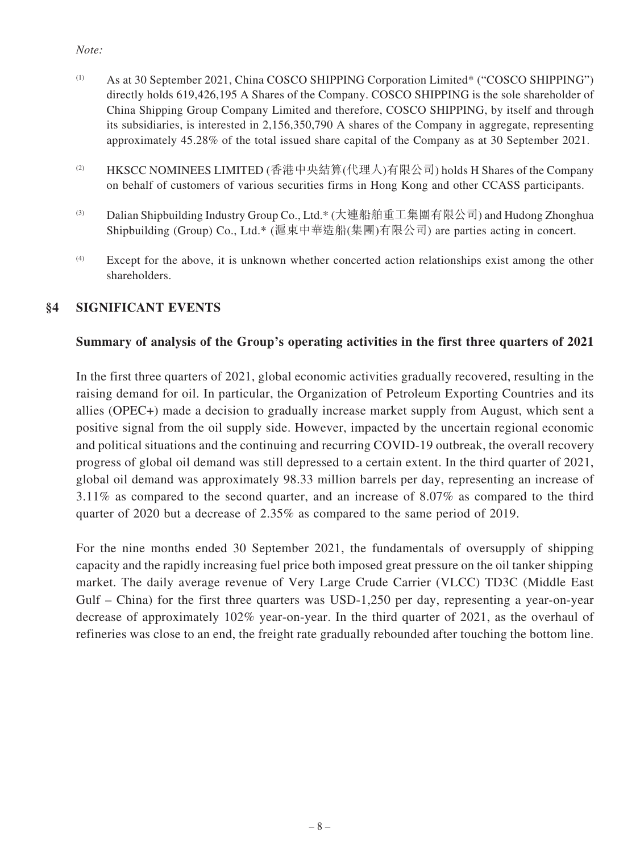#### *Note:*

- (1) As at 30 September 2021, China COSCO SHIPPING Corporation Limited\* ("COSCO SHIPPING") directly holds 619,426,195 A Shares of the Company. COSCO SHIPPING is the sole shareholder of China Shipping Group Company Limited and therefore, COSCO SHIPPING, by itself and through its subsidiaries, is interested in 2,156,350,790 A shares of the Company in aggregate, representing approximately 45.28% of the total issued share capital of the Company as at 30 September 2021.
- (2) HKSCC NOMINEES LIMITED (香港中央結算(代理人)有限公司) holds H Shares of the Company on behalf of customers of various securities firms in Hong Kong and other CCASS participants.
- (3) Dalian Shipbuilding Industry Group Co., Ltd.\* (大連船舶重工集團有限公司) and Hudong Zhonghua Shipbuilding (Group) Co., Ltd.\* (滬東中華造船(集團)有限公司) are parties acting in concert.
- (4) Except for the above, it is unknown whether concerted action relationships exist among the other shareholders.

#### **§4 SIGNIFICANT EVENTS**

#### **Summary of analysis of the Group's operating activities in the first three quarters of 2021**

In the first three quarters of 2021, global economic activities gradually recovered, resulting in the raising demand for oil. In particular, the Organization of Petroleum Exporting Countries and its allies (OPEC+) made a decision to gradually increase market supply from August, which sent a positive signal from the oil supply side. However, impacted by the uncertain regional economic and political situations and the continuing and recurring COVID-19 outbreak, the overall recovery progress of global oil demand was still depressed to a certain extent. In the third quarter of 2021, global oil demand was approximately 98.33 million barrels per day, representing an increase of 3.11% as compared to the second quarter, and an increase of 8.07% as compared to the third quarter of 2020 but a decrease of 2.35% as compared to the same period of 2019.

For the nine months ended 30 September 2021, the fundamentals of oversupply of shipping capacity and the rapidly increasing fuel price both imposed great pressure on the oil tanker shipping market. The daily average revenue of Very Large Crude Carrier (VLCC) TD3C (Middle East Gulf – China) for the first three quarters was USD-1,250 per day, representing a year-on-year decrease of approximately 102% year-on-year. In the third quarter of 2021, as the overhaul of refineries was close to an end, the freight rate gradually rebounded after touching the bottom line.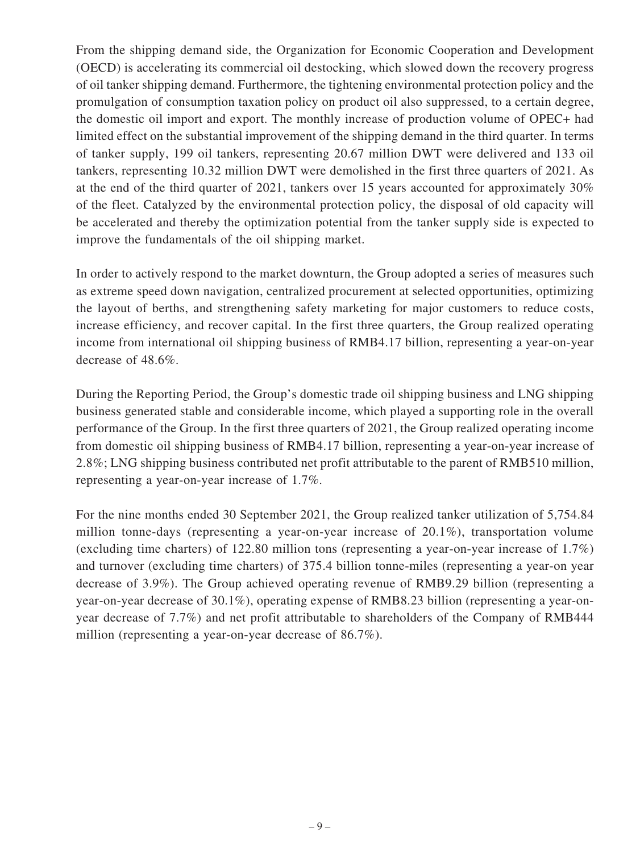From the shipping demand side, the Organization for Economic Cooperation and Development (OECD) is accelerating its commercial oil destocking, which slowed down the recovery progress of oil tanker shipping demand. Furthermore, the tightening environmental protection policy and the promulgation of consumption taxation policy on product oil also suppressed, to a certain degree, the domestic oil import and export. The monthly increase of production volume of OPEC+ had limited effect on the substantial improvement of the shipping demand in the third quarter. In terms of tanker supply, 199 oil tankers, representing 20.67 million DWT were delivered and 133 oil tankers, representing 10.32 million DWT were demolished in the first three quarters of 2021. As at the end of the third quarter of 2021, tankers over 15 years accounted for approximately 30% of the fleet. Catalyzed by the environmental protection policy, the disposal of old capacity will be accelerated and thereby the optimization potential from the tanker supply side is expected to improve the fundamentals of the oil shipping market.

In order to actively respond to the market downturn, the Group adopted a series of measures such as extreme speed down navigation, centralized procurement at selected opportunities, optimizing the layout of berths, and strengthening safety marketing for major customers to reduce costs, increase efficiency, and recover capital. In the first three quarters, the Group realized operating income from international oil shipping business of RMB4.17 billion, representing a year-on-year decrease of 48.6%.

During the Reporting Period, the Group's domestic trade oil shipping business and LNG shipping business generated stable and considerable income, which played a supporting role in the overall performance of the Group. In the first three quarters of 2021, the Group realized operating income from domestic oil shipping business of RMB4.17 billion, representing a year-on-year increase of 2.8%; LNG shipping business contributed net profit attributable to the parent of RMB510 million, representing a year-on-year increase of 1.7%.

For the nine months ended 30 September 2021, the Group realized tanker utilization of 5,754.84 million tonne-days (representing a year-on-year increase of 20.1%), transportation volume (excluding time charters) of 122.80 million tons (representing a year-on-year increase of 1.7%) and turnover (excluding time charters) of 375.4 billion tonne-miles (representing a year-on year decrease of 3.9%). The Group achieved operating revenue of RMB9.29 billion (representing a year-on-year decrease of 30.1%), operating expense of RMB8.23 billion (representing a year-onyear decrease of 7.7%) and net profit attributable to shareholders of the Company of RMB444 million (representing a year-on-year decrease of 86.7%).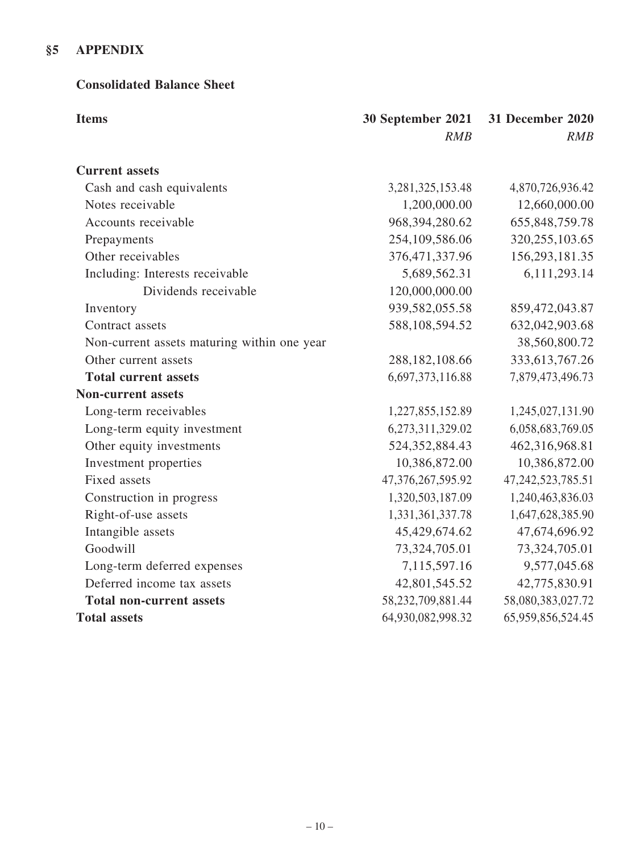## **§5 APPENDIX**

#### **Consolidated Balance Sheet**

| <b>Items</b>                                | 30 September 2021<br>RMB | <b>31 December 2020</b><br>RMB |
|---------------------------------------------|--------------------------|--------------------------------|
| <b>Current assets</b>                       |                          |                                |
| Cash and cash equivalents                   | 3,281,325,153.48         | 4,870,726,936.42               |
| Notes receivable                            | 1,200,000.00             | 12,660,000.00                  |
| Accounts receivable                         | 968,394,280.62           | 655, 848, 759. 78              |
| Prepayments                                 | 254,109,586.06           | 320, 255, 103.65               |
| Other receivables                           | 376,471,337.96           | 156,293,181.35                 |
| Including: Interests receivable             | 5,689,562.31             | 6,111,293.14                   |
| Dividends receivable                        | 120,000,000.00           |                                |
| Inventory                                   | 939,582,055.58           | 859,472,043.87                 |
| Contract assets                             | 588,108,594.52           | 632,042,903.68                 |
| Non-current assets maturing within one year |                          | 38,560,800.72                  |
| Other current assets                        | 288, 182, 108.66         | 333, 613, 767. 26              |
| <b>Total current assets</b>                 | 6,697,373,116.88         | 7,879,473,496.73               |
| <b>Non-current assets</b>                   |                          |                                |
| Long-term receivables                       | 1,227,855,152.89         | 1,245,027,131.90               |
| Long-term equity investment                 | 6,273,311,329.02         | 6,058,683,769.05               |
| Other equity investments                    | 524, 352, 884. 43        | 462,316,968.81                 |
| Investment properties                       | 10,386,872.00            | 10,386,872.00                  |
| Fixed assets                                | 47,376,267,595.92        | 47, 242, 523, 785. 51          |
| Construction in progress                    | 1,320,503,187.09         | 1,240,463,836.03               |
| Right-of-use assets                         | 1,331,361,337.78         | 1,647,628,385.90               |
| Intangible assets                           | 45,429,674.62            | 47,674,696.92                  |
| Goodwill                                    | 73,324,705.01            | 73,324,705.01                  |
| Long-term deferred expenses                 | 7,115,597.16             | 9,577,045.68                   |
| Deferred income tax assets                  | 42,801,545.52            | 42,775,830.91                  |
| <b>Total non-current assets</b>             | 58,232,709,881.44        | 58,080,383,027.72              |
| <b>Total assets</b>                         | 64,930,082,998.32        | 65,959,856,524.45              |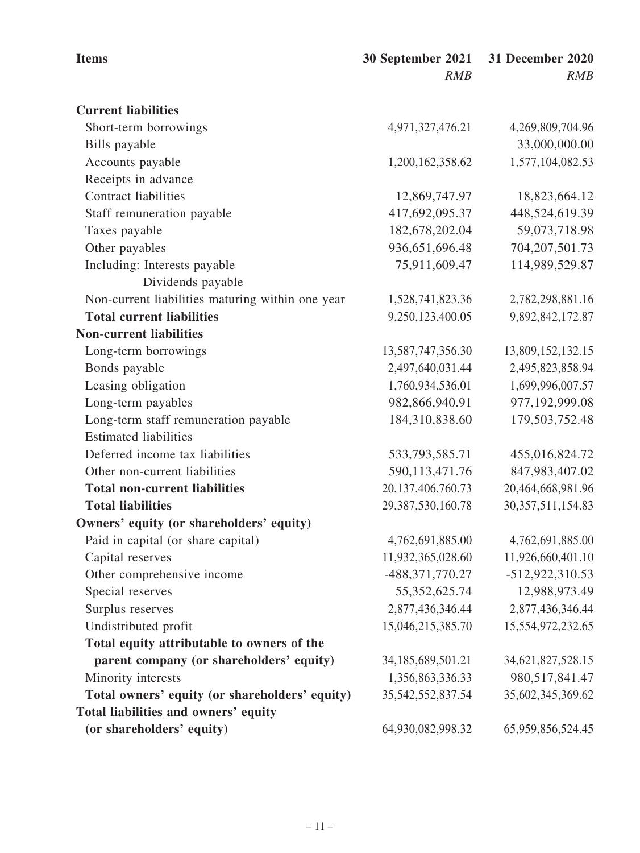| <b>Items</b>                                     | 30 September 2021     | <b>31 December 2020</b> |
|--------------------------------------------------|-----------------------|-------------------------|
|                                                  | RMB                   | RMB                     |
| <b>Current liabilities</b>                       |                       |                         |
| Short-term borrowings                            | 4,971,327,476.21      | 4,269,809,704.96        |
| Bills payable                                    |                       | 33,000,000.00           |
| Accounts payable                                 | 1,200,162,358.62      | 1,577,104,082.53        |
| Receipts in advance                              |                       |                         |
| <b>Contract liabilities</b>                      | 12,869,747.97         | 18,823,664.12           |
| Staff remuneration payable                       | 417,692,095.37        | 448,524,619.39          |
| Taxes payable                                    | 182,678,202.04        | 59,073,718.98           |
| Other payables                                   | 936,651,696.48        | 704, 207, 501. 73       |
| Including: Interests payable                     | 75,911,609.47         | 114,989,529.87          |
| Dividends payable                                |                       |                         |
| Non-current liabilities maturing within one year | 1,528,741,823.36      | 2,782,298,881.16        |
| <b>Total current liabilities</b>                 | 9,250,123,400.05      | 9,892,842,172.87        |
| <b>Non-current liabilities</b>                   |                       |                         |
| Long-term borrowings                             | 13,587,747,356.30     | 13,809,152,132.15       |
| Bonds payable                                    | 2,497,640,031.44      | 2,495,823,858.94        |
| Leasing obligation                               | 1,760,934,536.01      | 1,699,996,007.57        |
| Long-term payables                               | 982,866,940.91        | 977,192,999.08          |
| Long-term staff remuneration payable             | 184,310,838.60        | 179,503,752.48          |
| <b>Estimated liabilities</b>                     |                       |                         |
| Deferred income tax liabilities                  | 533, 793, 585. 71     | 455,016,824.72          |
| Other non-current liabilities                    | 590,113,471.76        | 847,983,407.02          |
| <b>Total non-current liabilities</b>             | 20,137,406,760.73     | 20,464,668,981.96       |
| <b>Total liabilities</b>                         | 29,387,530,160.78     | 30, 357, 511, 154.83    |
| Owners' equity (or shareholders' equity)         |                       |                         |
| Paid in capital (or share capital)               | 4,762,691,885.00      | 4,762,691,885.00        |
| Capital reserves                                 | 11,932,365,028.60     | 11,926,660,401.10       |
| Other comprehensive income                       | -488,371,770.27       | -512,922,310.53         |
| Special reserves                                 | 55,352,625.74         | 12,988,973.49           |
| Surplus reserves                                 | 2,877,436,346.44      | 2,877,436,346.44        |
| Undistributed profit                             | 15,046,215,385.70     | 15,554,972,232.65       |
| Total equity attributable to owners of the       |                       |                         |
| parent company (or shareholders' equity)         | 34, 185, 689, 501. 21 | 34,621,827,528.15       |
| Minority interests                               | 1,356,863,336.33      | 980,517,841.47          |
| Total owners' equity (or shareholders' equity)   | 35, 542, 552, 837. 54 | 35,602,345,369.62       |
| Total liabilities and owners' equity             |                       |                         |
| (or shareholders' equity)                        | 64,930,082,998.32     | 65,959,856,524.45       |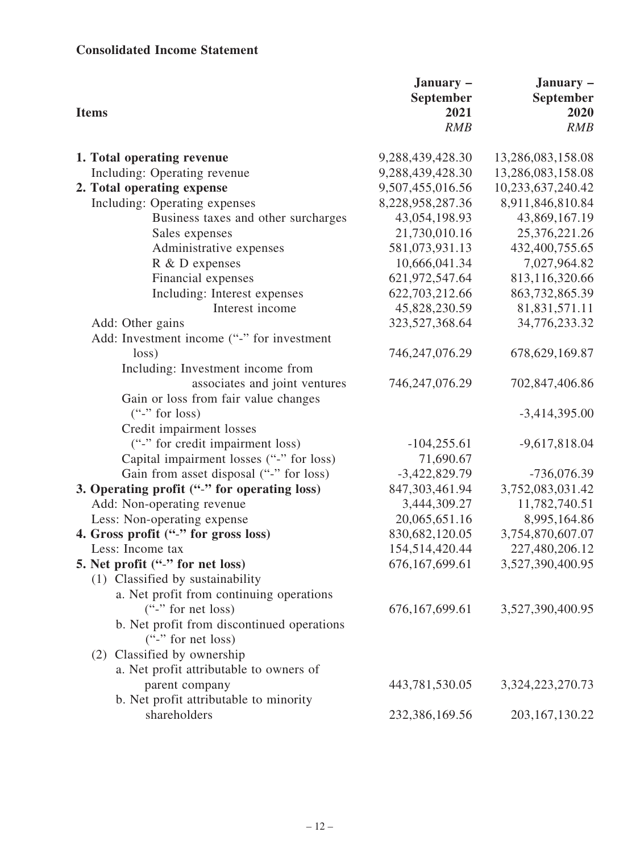## **Consolidated Income Statement**

| <b>Items</b>                                 | January -<br>September<br>2021<br><b>RMB</b> | January -<br>September<br>2020<br><b>RMB</b> |
|----------------------------------------------|----------------------------------------------|----------------------------------------------|
| 1. Total operating revenue                   | 9,288,439,428.30                             | 13,286,083,158.08                            |
| Including: Operating revenue                 | 9,288,439,428.30                             | 13,286,083,158.08                            |
| 2. Total operating expense                   | 9,507,455,016.56                             | 10,233,637,240.42                            |
| Including: Operating expenses                | 8,228,958,287.36                             | 8,911,846,810.84                             |
| Business taxes and other surcharges          | 43,054,198.93                                | 43,869,167.19                                |
| Sales expenses                               | 21,730,010.16                                | 25,376,221.26                                |
| Administrative expenses                      | 581,073,931.13                               | 432,400,755.65                               |
| R & D expenses                               | 10,666,041.34                                | 7,027,964.82                                 |
| Financial expenses                           | 621,972,547.64                               | 813,116,320.66                               |
| Including: Interest expenses                 | 622,703,212.66                               | 863,732,865.39                               |
| Interest income                              | 45,828,230.59                                | 81,831,571.11                                |
| Add: Other gains                             | 323,527,368.64                               | 34,776,233.32                                |
| Add: Investment income ("-" for investment   |                                              |                                              |
| loss)                                        | 746,247,076.29                               | 678, 629, 169.87                             |
| Including: Investment income from            |                                              |                                              |
| associates and joint ventures                | 746,247,076.29                               | 702,847,406.86                               |
| Gain or loss from fair value changes         |                                              |                                              |
| $($ "-" for loss)                            |                                              | $-3,414,395.00$                              |
| Credit impairment losses                     |                                              |                                              |
| ("-" for credit impairment loss)             | $-104, 255.61$                               | $-9,617,818.04$                              |
| Capital impairment losses ("-" for loss)     | 71,690.67                                    |                                              |
| Gain from asset disposal ("-" for loss)      | $-3,422,829.79$                              | $-736,076.39$                                |
| 3. Operating profit ("-" for operating loss) | 847,303,461.94                               | 3,752,083,031.42                             |
| Add: Non-operating revenue                   | 3,444,309.27                                 | 11,782,740.51                                |
| Less: Non-operating expense                  | 20,065,651.16                                | 8,995,164.86                                 |
| 4. Gross profit ("-" for gross loss)         | 830,682,120.05                               | 3,754,870,607.07                             |
| Less: Income tax                             | 154,514,420.44                               | 227,480,206.12                               |
| 5. Net profit ("-" for net loss)             | 676, 167, 699. 61                            | 3,527,390,400.95                             |
| (1) Classified by sustainability             |                                              |                                              |
| a. Net profit from continuing operations     |                                              |                                              |
| $($ "-" for net loss)                        | 676, 167, 699. 61                            | 3,527,390,400.95                             |
| b. Net profit from discontinued operations   |                                              |                                              |
| $($ "-" for net loss)                        |                                              |                                              |
| (2) Classified by ownership                  |                                              |                                              |
| a. Net profit attributable to owners of      |                                              |                                              |
| parent company                               | 443,781,530.05                               | 3,324,223,270.73                             |
| b. Net profit attributable to minority       |                                              |                                              |
| shareholders                                 | 232,386,169.56                               | 203, 167, 130. 22                            |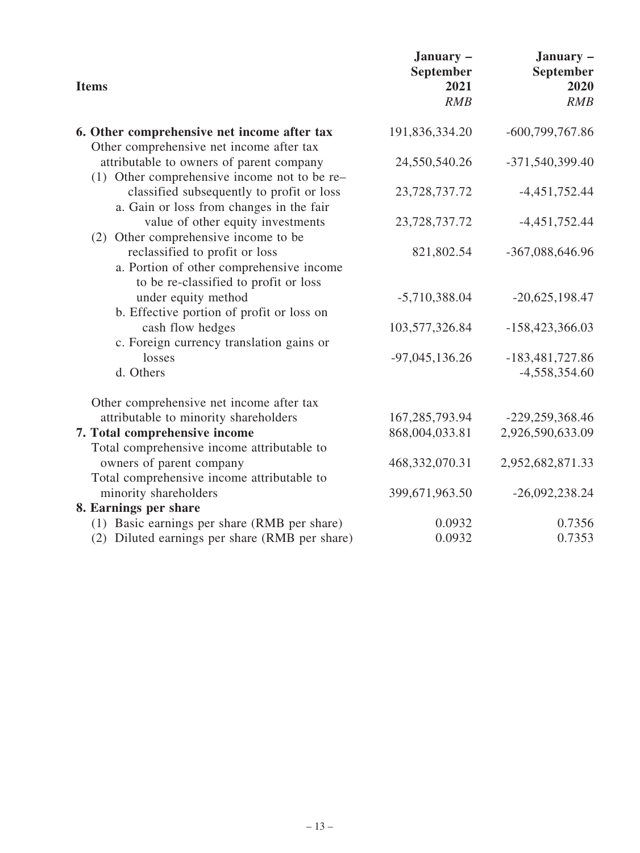| <b>Items</b>                                                                                                        | January -<br>September<br>2021<br>RMB | January -<br>September<br>2020<br>RMB |
|---------------------------------------------------------------------------------------------------------------------|---------------------------------------|---------------------------------------|
| 6. Other comprehensive net income after tax<br>Other comprehensive net income after tax                             | 191,836,334.20                        | $-600,799,767.86$                     |
| attributable to owners of parent company<br>(1) Other comprehensive income not to be re-                            | 24,550,540.26                         | -371,540,399.40                       |
| classified subsequently to profit or loss<br>a. Gain or loss from changes in the fair                               | 23,728,737.72                         | $-4,451,752.44$                       |
| value of other equity investments<br>(2) Other comprehensive income to be                                           | 23,728,737.72                         | $-4,451,752.44$                       |
| reclassified to profit or loss<br>a. Portion of other comprehensive income<br>to be re-classified to profit or loss | 821,802.54                            | -367,088,646.96                       |
| under equity method<br>b. Effective portion of profit or loss on                                                    | $-5,710,388.04$                       | $-20,625,198.47$                      |
| cash flow hedges<br>c. Foreign currency translation gains or                                                        | 103,577,326.84                        | $-158,423,366.03$                     |
| losses<br>d. Others                                                                                                 | $-97,045,136.26$                      | $-183,481,727.86$<br>$-4,558,354.60$  |
| Other comprehensive net income after tax                                                                            |                                       |                                       |
| attributable to minority shareholders                                                                               | 167,285,793.94                        | $-229,259,368.46$                     |
| 7. Total comprehensive income                                                                                       | 868,004,033.81                        | 2,926,590,633.09                      |
| Total comprehensive income attributable to                                                                          |                                       |                                       |
| owners of parent company<br>Total comprehensive income attributable to                                              | 468,332,070.31                        | 2,952,682,871.33                      |
| minority shareholders                                                                                               | 399,671,963.50                        | $-26,092,238.24$                      |
| 8. Earnings per share                                                                                               |                                       |                                       |
| (1) Basic earnings per share (RMB per share)                                                                        | 0.0932                                | 0.7356                                |
| (2) Diluted earnings per share (RMB per share)                                                                      | 0.0932                                | 0.7353                                |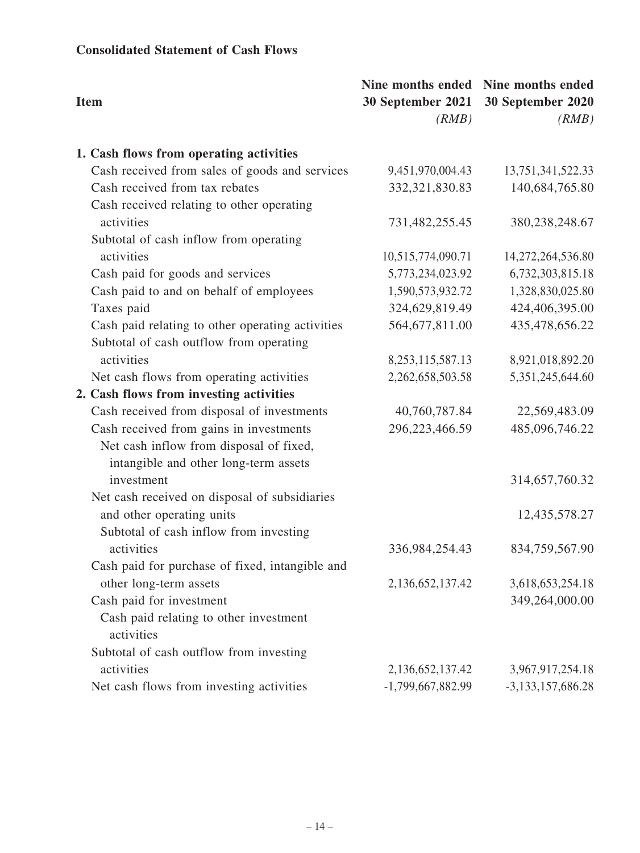### **Consolidated Statement of Cash Flows**

| <b>Item</b>                                          | <b>30 September 2021</b><br>(RMB) | Nine months ended Nine months ended<br>30 September 2020<br>(RMB) |
|------------------------------------------------------|-----------------------------------|-------------------------------------------------------------------|
| 1. Cash flows from operating activities              |                                   |                                                                   |
| Cash received from sales of goods and services       | 9,451,970,004.43                  | 13,751,341,522.33                                                 |
| Cash received from tax rebates                       | 332, 321, 830. 83                 | 140,684,765.80                                                    |
| Cash received relating to other operating            |                                   |                                                                   |
| activities                                           | 731,482,255.45                    | 380,238,248.67                                                    |
| Subtotal of cash inflow from operating               |                                   |                                                                   |
| activities                                           | 10,515,774,090.71                 | 14,272,264,536.80                                                 |
| Cash paid for goods and services                     | 5,773,234,023.92                  | 6,732,303,815.18                                                  |
| Cash paid to and on behalf of employees              | 1,590,573,932.72                  | 1,328,830,025.80                                                  |
| Taxes paid                                           | 324,629,819.49                    | 424,406,395.00                                                    |
| Cash paid relating to other operating activities     | 564,677,811.00                    | 435,478,656.22                                                    |
| Subtotal of cash outflow from operating              |                                   |                                                                   |
| activities                                           | 8, 253, 115, 587. 13              | 8,921,018,892.20                                                  |
| Net cash flows from operating activities             | 2,262,658,503.58                  | 5,351,245,644.60                                                  |
| 2. Cash flows from investing activities              |                                   |                                                                   |
| Cash received from disposal of investments           | 40,760,787.84                     | 22,569,483.09                                                     |
| Cash received from gains in investments              | 296,223,466.59                    | 485,096,746.22                                                    |
| Net cash inflow from disposal of fixed,              |                                   |                                                                   |
| intangible and other long-term assets                |                                   |                                                                   |
| investment                                           |                                   | 314,657,760.32                                                    |
| Net cash received on disposal of subsidiaries        |                                   |                                                                   |
| and other operating units                            |                                   | 12,435,578.27                                                     |
| Subtotal of cash inflow from investing               |                                   |                                                                   |
| activities                                           | 336,984,254.43                    | 834,759,567.90                                                    |
| Cash paid for purchase of fixed, intangible and      |                                   |                                                                   |
| other long-term assets                               | 2,136,652,137.42                  | 3,618,653,254.18                                                  |
| Cash paid for investment                             |                                   | 349,264,000.00                                                    |
| Cash paid relating to other investment<br>activities |                                   |                                                                   |
| Subtotal of cash outflow from investing              |                                   |                                                                   |
| activities                                           | 2,136,652,137.42                  | 3,967,917,254.18                                                  |
| Net cash flows from investing activities             | -1,799,667,882.99                 | $-3,133,157,686.28$                                               |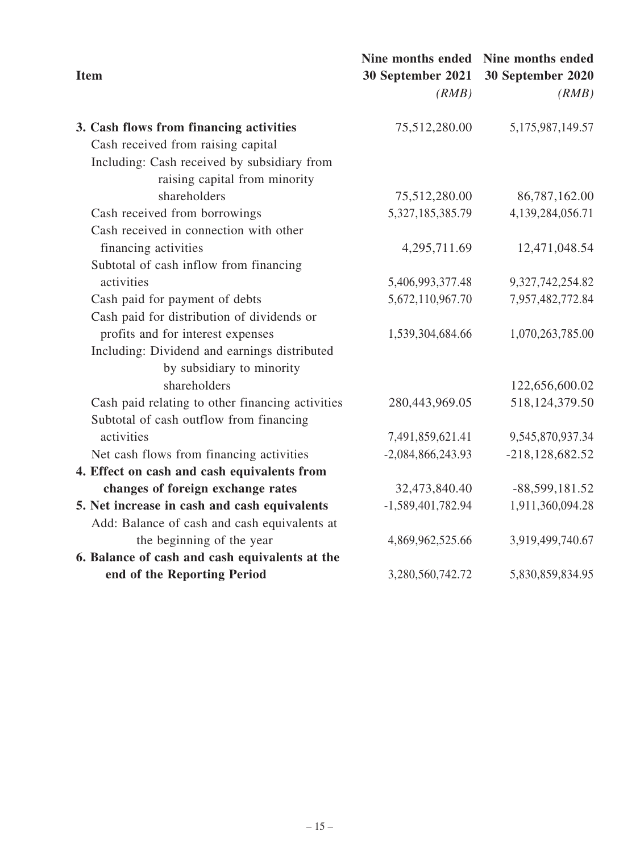| <b>Item</b>                                      | Nine months ended<br>30 September 2021<br>(RMB) | Nine months ended<br>30 September 2020<br>(RMB) |
|--------------------------------------------------|-------------------------------------------------|-------------------------------------------------|
| 3. Cash flows from financing activities          | 75,512,280.00                                   | 5,175,987,149.57                                |
| Cash received from raising capital               |                                                 |                                                 |
| Including: Cash received by subsidiary from      |                                                 |                                                 |
| raising capital from minority                    |                                                 |                                                 |
| shareholders                                     | 75,512,280.00                                   | 86,787,162.00                                   |
| Cash received from borrowings                    | 5,327,185,385.79                                | 4,139,284,056.71                                |
| Cash received in connection with other           |                                                 |                                                 |
| financing activities                             | 4,295,711.69                                    | 12,471,048.54                                   |
| Subtotal of cash inflow from financing           |                                                 |                                                 |
| activities                                       | 5,406,993,377.48                                | 9,327,742,254.82                                |
| Cash paid for payment of debts                   | 5,672,110,967.70                                | 7,957,482,772.84                                |
| Cash paid for distribution of dividends or       |                                                 |                                                 |
| profits and for interest expenses                | 1,539,304,684.66                                | 1,070,263,785.00                                |
| Including: Dividend and earnings distributed     |                                                 |                                                 |
| by subsidiary to minority                        |                                                 |                                                 |
| shareholders                                     |                                                 | 122,656,600.02                                  |
| Cash paid relating to other financing activities | 280,443,969.05                                  | 518, 124, 379.50                                |
| Subtotal of cash outflow from financing          |                                                 |                                                 |
| activities                                       | 7,491,859,621.41                                | 9,545,870,937.34                                |
| Net cash flows from financing activities         | $-2,084,866,243.93$                             | $-218, 128, 682.52$                             |
| 4. Effect on cash and cash equivalents from      |                                                 |                                                 |
| changes of foreign exchange rates                | 32,473,840.40                                   | -88,599,181.52                                  |
| 5. Net increase in cash and cash equivalents     | $-1,589,401,782.94$                             | 1,911,360,094.28                                |
| Add: Balance of cash and cash equivalents at     |                                                 |                                                 |
| the beginning of the year                        | 4,869,962,525.66                                | 3,919,499,740.67                                |
| 6. Balance of cash and cash equivalents at the   |                                                 |                                                 |
| end of the Reporting Period                      | 3,280,560,742.72                                | 5,830,859,834.95                                |